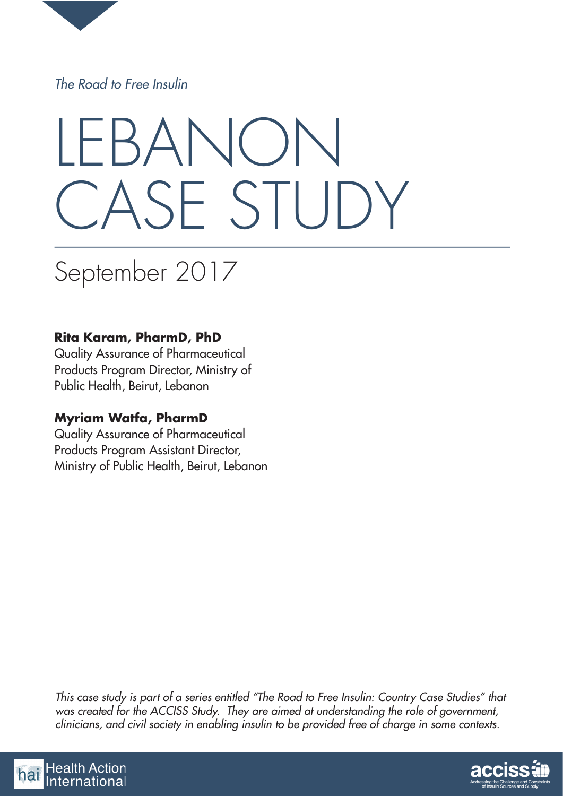

*The Road to Free Insulin*

# LEBANON CASE STUDY

# September 2017

# **Rita Karam, PharmD, PhD**

Quality Assurance of Pharmaceutical Products Program Director, Ministry of Public Health, Beirut, Lebanon

# **Myriam Watfa, PharmD**

Quality Assurance of Pharmaceutical Products Program Assistant Director, Ministry of Public Health, Beirut, Lebanon

*This case study is part of a series entitled "The Road to Free Insulin: Country Case Studies" that was created for the ACCISS Study. They are aimed at understanding the role of government, clinicians, and civil society in enabling insulin to be provided free of charge in some contexts.*



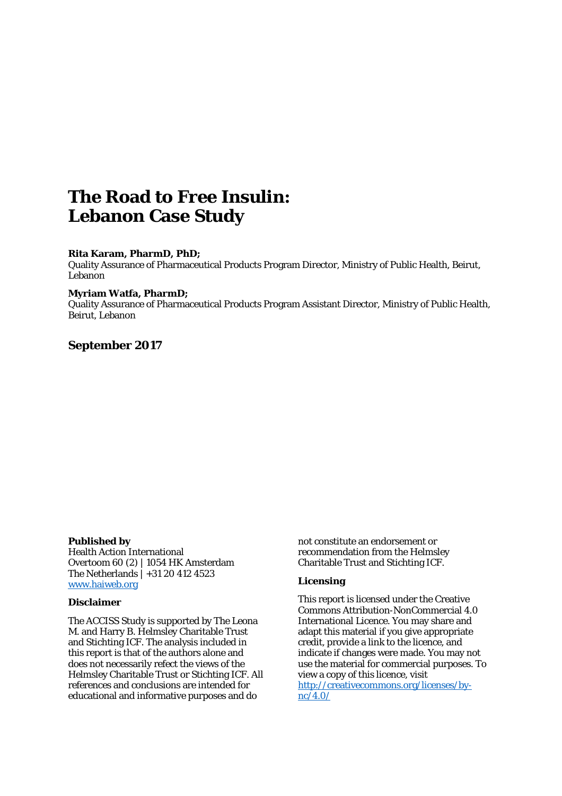# **The Road to Free Insulin: Lebanon Case Study**

#### **Rita Karam, PharmD, PhD;**

Quality Assurance of Pharmaceutical Products Program Director, Ministry of Public Health, Beirut, Lebanon

#### **Myriam Watfa, PharmD;**

Quality Assurance of Pharmaceutical Products Program Assistant Director, Ministry of Public Health, Beirut, Lebanon

#### **September 2017**

#### **Published by**

Health Action International Overtoom 60 (2) | 1054 HK Amsterdam The Netherlands | +31 20 412 4523 [www.haiweb.org](http://www.haiweb.org/) 

#### **Disclaimer**

The ACCISS Study is supported by The Leona M. and Harry B. Helmsley Charitable Trust and Stichting ICF. The analysis included in this report is that of the authors alone and does not necessarily refect the views of the Helmsley Charitable Trust or Stichting ICF. All references and conclusions are intended for educational and informative purposes and do

not constitute an endorsement or recommendation from the Helmsley Charitable Trust and Stichting ICF.

#### **Licensing**

This report is licensed under the Creative Commons Attribution-NonCommercial 4.0 International Licence. You may share and adapt this material if you give appropriate credit, provide a link to the licence, and indicate if changes were made. You may not use the material for commercial purposes. To view a copy of this licence, visit [http://creativecommons.org/licenses/by](http://creativecommons.org/licenses/by-nc/4.0/)[nc/4.0/](http://creativecommons.org/licenses/by-nc/4.0/)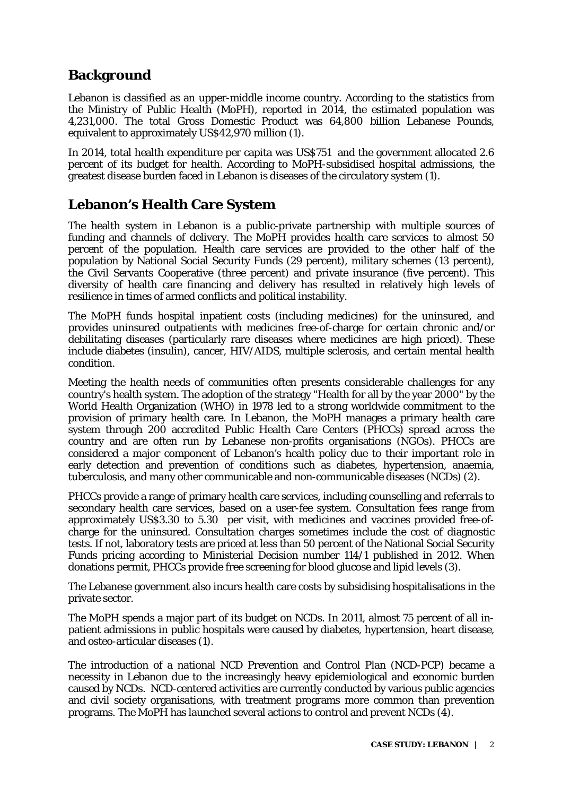# **Background**

Lebanon is classified as an upper-middle income country. According to the statistics from the Ministry of Public Health (MoPH), reported in 2014, the estimated population was 4,231,000. The total Gross Domestic Product was 64,800 billion Lebanese Pounds, equivalent to approximately US\$42,970 million (1).

In 2014, total health expenditure per capita was US\$751 and the government allocated 2.6 percent of its budget for health. According to MoPH-subsidised hospital admissions, the greatest disease burden faced in Lebanon is diseases of the circulatory system (1).

# **Lebanon's Health Care System**

The health system in Lebanon is a public-private partnership with multiple sources of funding and channels of delivery. The MoPH provides health care services to almost 50 percent of the population. Health care services are provided to the other half of the population by National Social Security Funds (29 percent), military schemes (13 percent), the Civil Servants Cooperative (three percent) and private insurance (five percent). This diversity of health care financing and delivery has resulted in relatively high levels of resilience in times of armed conflicts and political instability.

The MoPH funds hospital inpatient costs (including medicines) for the uninsured, and provides uninsured outpatients with medicines free-of-charge for certain chronic and/or debilitating diseases (particularly rare diseases where medicines are high priced). These include diabetes (insulin), cancer, HIV/AIDS, multiple sclerosis, and certain mental health condition.

Meeting the health needs of communities often presents considerable challenges for any country's health system. The adoption of the strategy "Health for all by the year 2000" by the World Health Organization (WHO) in 1978 led to a strong worldwide commitment to the provision of primary health care. In Lebanon, the MoPH manages a primary health care system through 200 accredited Public Health Care Centers (PHCCs) spread across the country and are often run by Lebanese non-profits organisations (NGOs). PHCCs are considered a major component of Lebanon's health policy due to their important role in early detection and prevention of conditions such as diabetes, hypertension, anaemia, tuberculosis, and many other communicable and non-communicable diseases (NCDs) (2).

PHCCs provide a range of primary health care services, including counselling and referrals to secondary health care services, based on a user-fee system. Consultation fees range from approximately US\$3.30 to 5.30 per visit, with medicines and vaccines provided free-ofcharge for the uninsured. Consultation charges sometimes include the cost of diagnostic tests. If not, laboratory tests are priced at less than 50 percent of the National Social Security Funds pricing according to Ministerial Decision number 114/1 published in 2012. When donations permit, PHCCs provide free screening for blood glucose and lipid levels (3).

The Lebanese government also incurs health care costs by subsidising hospitalisations in the private sector.

The MoPH spends a major part of its budget on NCDs. In 2011, almost 75 percent of all inpatient admissions in public hospitals were caused by diabetes, hypertension, heart disease, and osteo-articular diseases (1).

The introduction of a national NCD Prevention and Control Plan (NCD-PCP) became a necessity in Lebanon due to the increasingly heavy epidemiological and economic burden caused by NCDs. NCD-centered activities are currently conducted by various public agencies and civil society organisations, with treatment programs more common than prevention programs. The MoPH has launched several actions to control and prevent NCDs (4).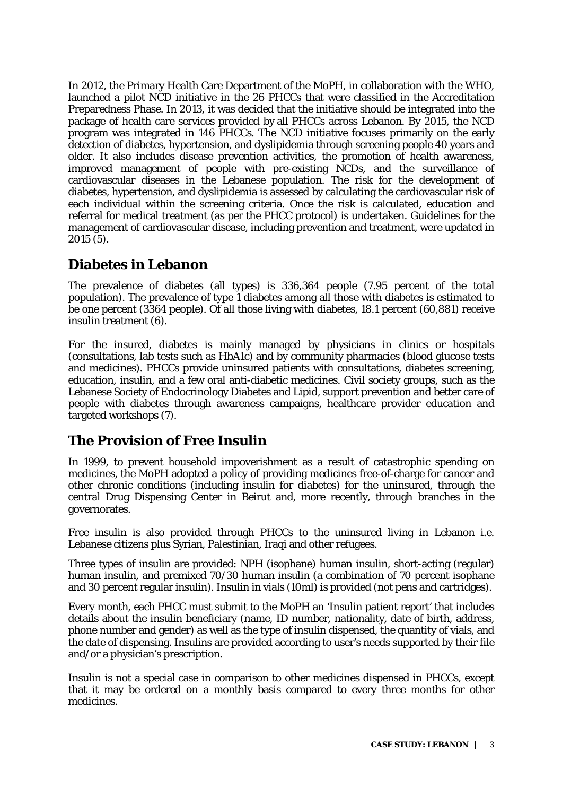In 2012, the Primary Health Care Department of the MoPH, in collaboration with the WHO, launched a pilot NCD initiative in the 26 PHCCs that were classified in the Accreditation Preparedness Phase. In 2013, it was decided that the initiative should be integrated into the package of health care services provided by all PHCCs across Lebanon. By 2015, the NCD program was integrated in 146 PHCCs. The NCD initiative focuses primarily on the early detection of diabetes, hypertension, and dyslipidemia through screening people 40 years and older. It also includes disease prevention activities, the promotion of health awareness, improved management of people with pre-existing NCDs, and the surveillance of cardiovascular diseases in the Lebanese population. The risk for the development of diabetes, hypertension, and dyslipidemia is assessed by calculating the cardiovascular risk of each individual within the screening criteria. Once the risk is calculated, education and referral for medical treatment (as per the PHCC protocol) is undertaken. Guidelines for the management of cardiovascular disease, including prevention and treatment, were updated in 2015 (5).

# **Diabetes in Lebanon**

The prevalence of diabetes (all types) is 336,364 people (7.95 percent of the total population). The prevalence of type 1 diabetes among all those with diabetes is estimated to be one percent (3364 people). Of all those living with diabetes, 18.1 percent (60,881) receive insulin treatment (6).

For the insured, diabetes is mainly managed by physicians in clinics or hospitals (consultations, lab tests such as HbA1c) and by community pharmacies (blood glucose tests and medicines). PHCCs provide uninsured patients with consultations, diabetes screening, education, insulin, and a few oral anti-diabetic medicines. Civil society groups, such as the Lebanese Society of Endocrinology Diabetes and Lipid, support prevention and better care of people with diabetes through awareness campaigns, healthcare provider education and targeted workshops (7).

# **The Provision of Free Insulin**

In 1999, to prevent household impoverishment as a result of catastrophic spending on medicines, the MoPH adopted a policy of providing medicines free-of-charge for cancer and other chronic conditions (including insulin for diabetes) for the uninsured, through the central Drug Dispensing Center in Beirut and, more recently, through branches in the governorates.

Free insulin is also provided through PHCCs to the uninsured living in Lebanon i.e. Lebanese citizens plus Syrian, Palestinian, Iraqi and other refugees.

Three types of insulin are provided: NPH (isophane) human insulin, short-acting (regular) human insulin, and premixed 70/30 human insulin (a combination of 70 percent isophane and 30 percent regular insulin). Insulin in vials (10ml) is provided (not pens and cartridges).

Every month, each PHCC must submit to the MoPH an 'Insulin patient report' that includes details about the insulin beneficiary (name, ID number, nationality, date of birth, address, phone number and gender) as well as the type of insulin dispensed, the quantity of vials, and the date of dispensing. Insulins are provided according to user's needs supported by their file and/or a physician's prescription.

Insulin is not a special case in comparison to other medicines dispensed in PHCCs, except that it may be ordered on a monthly basis compared to every three months for other medicines.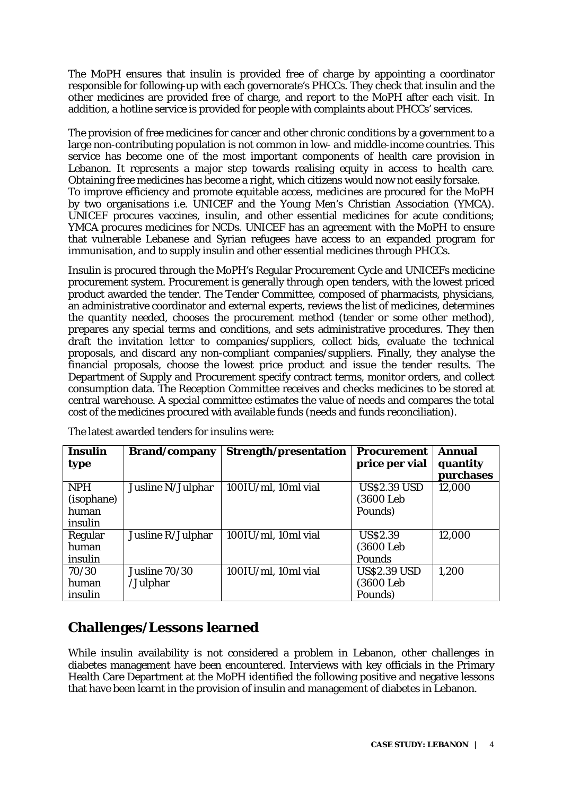The MoPH ensures that insulin is provided free of charge by appointing a coordinator responsible for following-up with each governorate's PHCCs. They check that insulin and the other medicines are provided free of charge, and report to the MoPH after each visit. In addition, a hotline service is provided for people with complaints about PHCCs' services.

The provision of free medicines for cancer and other chronic conditions by a government to a large non-contributing population is not common in low- and middle-income countries. This service has become one of the most important components of health care provision in Lebanon. It represents a major step towards realising equity in access to health care. Obtaining free medicines has become a right, which citizens would now not easily forsake. To improve efficiency and promote equitable access, medicines are procured for the MoPH by two organisations i.e. UNICEF and the Young Men's Christian Association (YMCA). UNICEF procures vaccines, insulin, and other essential medicines for acute conditions; YMCA procures medicines for NCDs. UNICEF has an agreement with the MoPH to ensure that vulnerable Lebanese and Syrian refugees have access to an expanded program for immunisation, and to supply insulin and other essential medicines through PHCCs.

Insulin is procured through the MoPH's Regular Procurement Cycle and UNICEFs medicine procurement system. Procurement is generally through open tenders, with the lowest priced product awarded the tender. The Tender Committee, composed of pharmacists, physicians, an administrative coordinator and external experts, reviews the list of medicines, determines the quantity needed, chooses the procurement method (tender or some other method), prepares any special terms and conditions, and sets administrative procedures. They then draft the invitation letter to companies/suppliers, collect bids, evaluate the technical proposals, and discard any non-compliant companies/suppliers. Finally, they analyse the financial proposals, choose the lowest price product and issue the tender results. The Department of Supply and Procurement specify contract terms, monitor orders, and collect consumption data. The Reception Committee receives and checks medicines to be stored at central warehouse. A special committee estimates the value of needs and compares the total cost of the medicines procured with available funds (needs and funds reconciliation).

| <b>Insulin</b> | <b>Brand/company</b> | Strength/presentation | <b>Procurement</b>  | <b>Annual</b>         |
|----------------|----------------------|-----------------------|---------------------|-----------------------|
| type           |                      |                       | price per vial      | quantity<br>purchases |
| <b>NPH</b>     | Jusline N/Julphar    | 100IU/ml, 10ml vial   | <b>US\$2.39 USD</b> | 12,000                |
| (isophane)     |                      |                       | (3600 Leb)          |                       |
| human          |                      |                       | Pounds)             |                       |
| insulin        |                      |                       |                     |                       |
| Regular        | Jusline R/Julphar    | 100IU/ml, 10ml vial   | <b>US\$2.39</b>     | 12,000                |
| human          |                      |                       | (3600 Leb)          |                       |
| insulin        |                      |                       | <b>Pounds</b>       |                       |
| 70/30          | Jusline 70/30        | 100IU/ml, 10ml vial   | <b>US\$2.39 USD</b> | 1,200                 |
| human          | /Julphar             |                       | (3600 Leb)          |                       |
| insulin        |                      |                       | Pounds)             |                       |

The latest awarded tenders for insulins were:

# **Challenges/Lessons learned**

While insulin availability is not considered a problem in Lebanon, other challenges in diabetes management have been encountered. Interviews with key officials in the Primary Health Care Department at the MoPH identified the following positive and negative lessons that have been learnt in the provision of insulin and management of diabetes in Lebanon.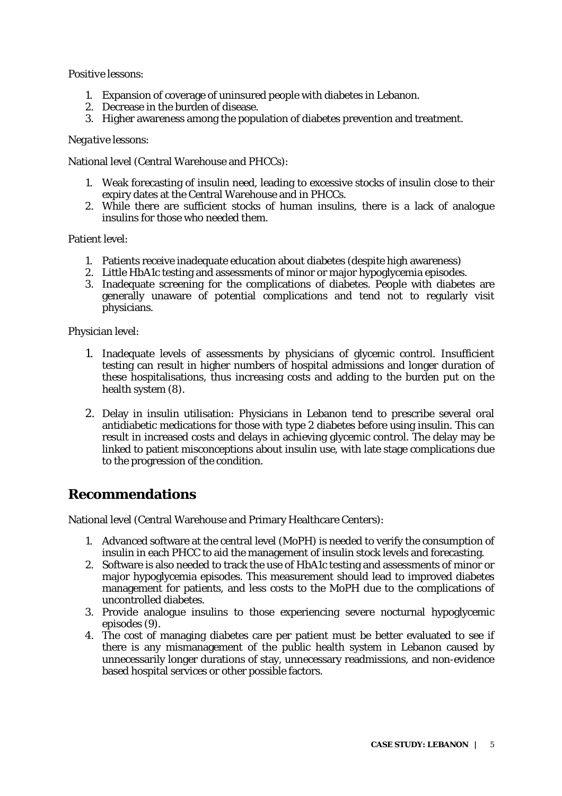#### *Positive lessons:*

- 1. Expansion of coverage of uninsured people with diabetes in Lebanon.
- 2. Decrease in the burden of disease.
- 3. Higher awareness among the population of diabetes prevention and treatment.

#### *Negative lessons:*

National level (Central Warehouse and PHCCs):

- 1. Weak forecasting of insulin need, leading to excessive stocks of insulin close to their expiry dates at the Central Warehouse and in PHCCs.
- 2. While there are sufficient stocks of human insulins, there is a lack of analogue insulins for those who needed them.

#### Patient level:

- 1. Patients receive inadequate education about diabetes (despite high awareness)
- 2. Little HbA1c testing and assessments of minor or major hypoglycemia episodes.
- 3. Inadequate screening for the complications of diabetes. People with diabetes are generally unaware of potential complications and tend not to regularly visit physicians.

Physician level:

- 1. Inadequate levels of assessments by physicians of glycemic control. Insufficient testing can result in higher numbers of hospital admissions and longer duration of these hospitalisations, thus increasing costs and adding to the burden put on the health system (8).
- 2. Delay in insulin utilisation: Physicians in Lebanon tend to prescribe several oral antidiabetic medications for those with type 2 diabetes before using insulin. This can result in increased costs and delays in achieving glycemic control. The delay may be linked to patient misconceptions about insulin use, with late stage complications due to the progression of the condition.

#### **Recommendations**

National level (Central Warehouse and Primary Healthcare Centers):

- 1. Advanced software at the central level (MoPH) is needed to verify the consumption of insulin in each PHCC to aid the management of insulin stock levels and forecasting.
- 2. Software is also needed to track the use of HbA1c testing and assessments of minor or major hypoglycemia episodes. This measurement should lead to improved diabetes management for patients, and less costs to the MoPH due to the complications of uncontrolled diabetes.
- 3. Provide analogue insulins to those experiencing severe nocturnal hypoglycemic episodes (9).
- 4. The cost of managing diabetes care per patient must be better evaluated to see if there is any mismanagement of the public health system in Lebanon caused by unnecessarily longer durations of stay, unnecessary readmissions, and non-evidence based hospital services or other possible factors.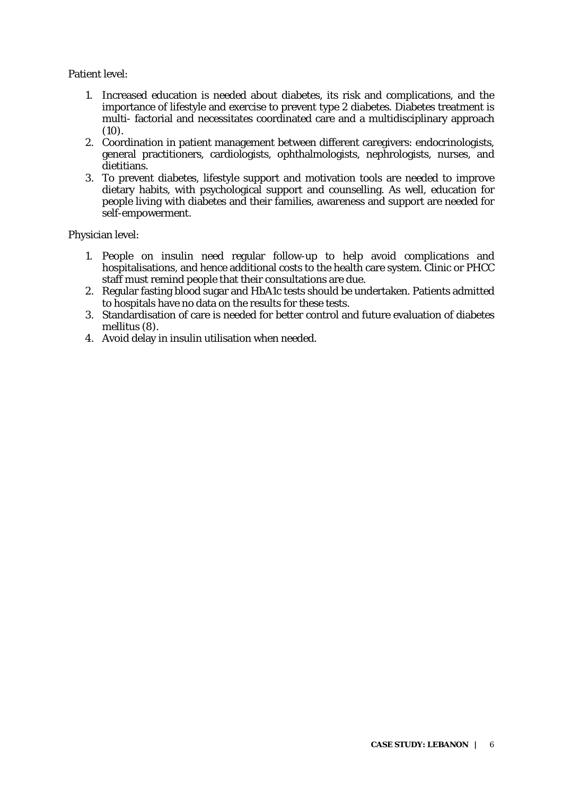Patient level:

- 1. Increased education is needed about diabetes, its risk and complications, and the importance of lifestyle and exercise to prevent type 2 diabetes. Diabetes treatment is multi- factorial and necessitates coordinated care and a multidisciplinary approach  $(10).$
- 2. Coordination in patient management between different caregivers: endocrinologists, general practitioners, cardiologists, ophthalmologists, nephrologists, nurses, and dietitians.
- 3. To prevent diabetes, lifestyle support and motivation tools are needed to improve dietary habits, with psychological support and counselling. As well, education for people living with diabetes and their families, awareness and support are needed for self-empowerment.

Physician level:

- 1. People on insulin need regular follow-up to help avoid complications and hospitalisations, and hence additional costs to the health care system. Clinic or PHCC staff must remind people that their consultations are due.
- 2. Regular fasting blood sugar and HbA1c tests should be undertaken. Patients admitted to hospitals have no data on the results for these tests.
- 3. Standardisation of care is needed for better control and future evaluation of diabetes mellitus (8).
- 4. Avoid delay in insulin utilisation when needed.